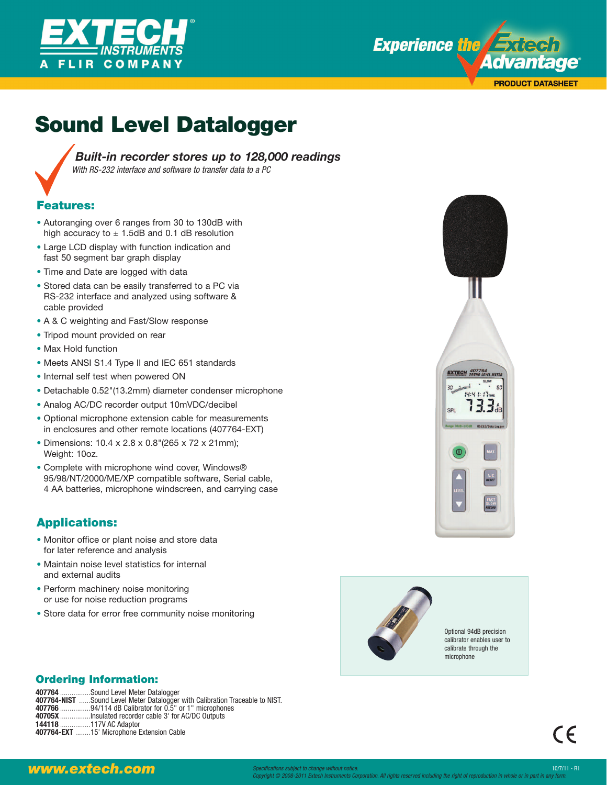



# **Sound Level Datalogger**



*Built-in recorder stores up to 128,000 readings With RS-232 interface and software to transfer data to a PC*

#### **Features:**

- Autoranging over 6 ranges from 30 to 130dB with high accuracy to  $\pm$  1.5dB and 0.1 dB resolution
- Large LCD display with function indication and fast 50 segment bar graph display
- Time and Date are logged with data
- Stored data can be easily transferred to a PC via RS-232 interface and analyzed using software & cable provided
- A & C weighting and Fast/Slow response
- Tripod mount provided on rear
- Max Hold function
- Meets ANSI S1.4 Type II and IEC 651 standards
- Internal self test when powered ON
- Detachable 0.52"(13.2mm) diameter condenser microphone
- Analog AC/DC recorder output 10mVDC/decibel
- Optional microphone extension cable for measurements in enclosures and other remote locations (407764-EXT)
- Dimensions: 10.4 x 2.8 x 0.8"(265 x 72 x 21mm); Weight: 10oz.
- Complete with microphone wind cover, Windows® 95/98/NT/2000/ME/XP compatible software, Serial cable, 4 AA batteries, microphone windscreen, and carrying case

### **Applications:**

- Monitor office or plant noise and store data for later reference and analysis
- Maintain noise level statistics for internal and external audits
- Perform machinery noise monitoring or use for noise reduction programs
- Store data for error free community noise monitoring





Optional 94dB precision calibrator enables user to calibrate through the microphone

 $\epsilon$ 

### **Ordering Information:**

**407764** ................Sound Level Meter Datalogger **407764-NIST** ......Sound Level Meter Datalogger with Calibration Traceable to NIST. **407766** ................94/114 dB Calibrator for 0.5" or 1" microphones **40705X** ................Insulated recorder cable 3' for AC/DC Outputs **144118** ................117V AC Adaptor **407764-EXT** ........15' Microphone Extension Cable